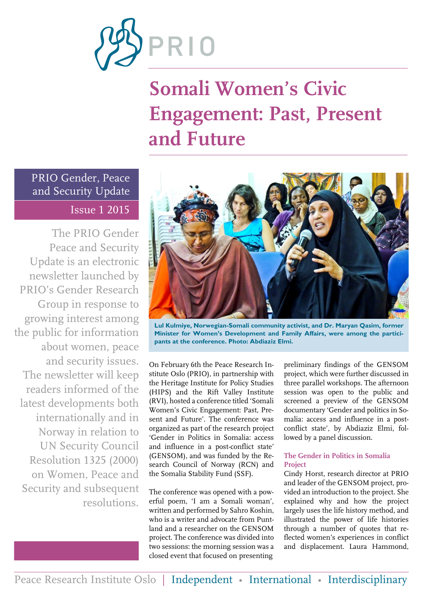

# **Somali Women's Civic Engagement: Past, Present and Future**

### PRIO Gender, Peace and Security Update Issue 1 2015

The PRIO Gender Peace and Security Update is an electronic newsletter launched by PRIO's Gender Research Group in response to growing interest among the public for information about women, peace and security issues. The newsletter will keep readers informed of the latest developments both internationally and in Norway in relation to UN Security Council Resolution 1325 (2000) on Women, Peace and Security and subsequent resolutions.



**Lul Kulmiye, Norwegian-Somali community activist, and Dr. Maryan Qasim, former Minister for Women's Development and Family Affairs, were among the participants at the conference. Photo: Abdiaziz Elmi.**

On February 6th the Peace Research Institute Oslo (PRIO), in partnership with the Heritage Institute for Policy Studies (HIPS) and the Rift Valley Institute (RVI), hosted a conference titled 'Somali Women's Civic Engagement: Past, Present and Future'. The conference was organized as part of the research project 'Gender in Politics in Somalia: access and influence in a post-conflict state' (GENSOM), and was funded by the Research Council of Norway (RCN) and the Somalia Stability Fund (SSF).

The conference was opened with a powerful poem, 'I am a Somali woman', written and performed by Sahro Koshin, who is a writer and advocate from Puntland and a researcher on the GENSOM project. The conference was divided into two sessions: the morning session was a closed event that focused on presenting

preliminary findings of the GENSOM project, which were further discussed in three parallel workshops. The afternoon session was open to the public and screened a preview of the GENSOM documentary 'Gender and politics in Somalia: access and influence in a postconflict state', by Abdiaziz Elmi, followed by a panel discussion.

### **The Gender in Politics in Somalia Project**

Cindy Horst, research director at PRIO and leader of the GENSOM project, provided an introduction to the project. She explained why and how the project largely uses the life history method, and illustrated the power of life histories through a number of quotes that reflected women's experiences in conflict and displacement. Laura Hammond,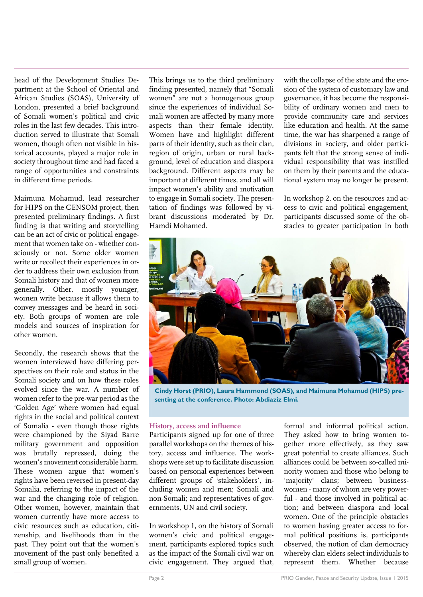head of the Development Studies Department at the School of Oriental and African Studies (SOAS), University of London, presented a brief background of Somali women's political and civic roles in the last few decades. This introduction served to illustrate that Somali women, though often not visible in historical accounts, played a major role in society throughout time and had faced a range of opportunities and constraints in different time periods.

Maimuna Mohamud, lead researcher for HIPS on the GENSOM project, then presented preliminary findings. A first finding is that writing and storytelling can be an act of civic or political engagement that women take on - whether consciously or not. Some older women write or recollect their experiences in order to address their own exclusion from Somali history and that of women more generally. Other, mostly younger, women write because it allows them to convey messages and be heard in society. Both groups of women are role models and sources of inspiration for other women.

Secondly, the research shows that the women interviewed have differing perspectives on their role and status in the Somali society and on how these roles evolved since the war. A number of women refer to the pre-war period as the 'Golden Age' where women had equal rights in the social and political context of Somalia - even though those rights were championed by the Siyad Barre military government and opposition was brutally repressed, doing the women's movement considerable harm. These women argue that women's rights have been reversed in present-day Somalia, referring to the impact of the war and the changing role of religion. Other women, however, maintain that women currently have more access to civic resources such as education, citizenship, and livelihoods than in the past. They point out that the women's movement of the past only benefited a small group of women.

This brings us to the third preliminary finding presented, namely that "Somali women" are not a homogenous group since the experiences of individual Somali women are affected by many more aspects than their female identity. Women have and highlight different parts of their identity, such as their clan, region of origin, urban or rural background, level of education and diaspora background. Different aspects may be important at different times, and all will impact women's ability and motivation to engage in Somali society. The presentation of findings was followed by vibrant discussions moderated by Dr. Hamdi Mohamed.

with the collapse of the state and the erosion of the system of customary law and governance, it has become the responsibility of ordinary women and men to provide community care and services like education and health. At the same time, the war has sharpened a range of divisions in society, and older participants felt that the strong sense of individual responsibility that was instilled on them by their parents and the educational system may no longer be present.

In workshop 2, on the resources and access to civic and political engagement, participants discussed some of the obstacles to greater participation in both



**Cindy Horst (PRIO), Laura Hammond (SOAS), and Maimuna Mohamud (HIPS) presenting at the conference. Photo: Abdiaziz Elmi.**

#### **History, access and influence**

Participants signed up for one of three parallel workshops on the themes of history, access and influence. The workshops were set up to facilitate discussion based on personal experiences between different groups of 'stakeholders', including women and men; Somali and non-Somali; and representatives of governments, UN and civil society.

In workshop 1, on the history of Somali women's civic and political engagement, participants explored topics such as the impact of the Somali civil war on civic engagement. They argued that,

formal and informal political action. They asked how to bring women together more effectively, as they saw great potential to create alliances. Such alliances could be between so-called minority women and those who belong to 'majority' clans; between businesswomen - many of whom are very powerful - and those involved in political action; and between diaspora and local women. One of the principle obstacles to women having greater access to formal political positions is, participants observed, the notion of clan democracy whereby clan elders select individuals to represent them. Whether because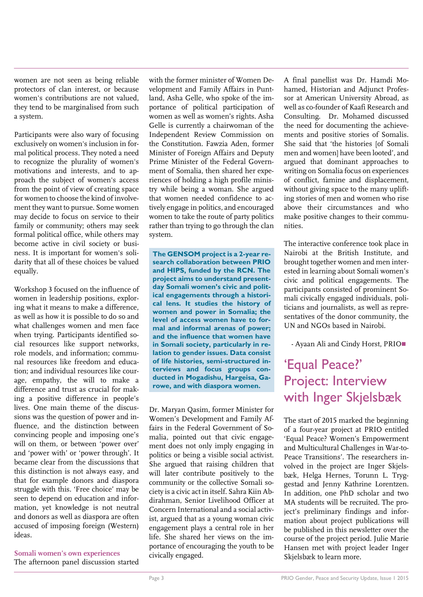women are not seen as being reliable protectors of clan interest, or because women's contributions are not valued, they tend to be marginalised from such a system.

Participants were also wary of focusing exclusively on women's inclusion in formal political process. They noted a need to recognize the plurality of women's motivations and interests, and to approach the subject of women's access from the point of view of creating space for women to choose the kind of involvement they want to pursue. Some women may decide to focus on service to their family or community; others may seek formal political office, while others may become active in civil society or business. It is important for women's solidarity that all of these choices be valued equally.

Workshop 3 focused on the influence of women in leadership positions, exploring what it means to make a difference, as well as how it is possible to do so and what challenges women and men face when trying. Participants identified social resources like support networks, role models, and information; communal resources like freedom and education; and individual resources like courage, empathy, the will to make a difference and trust as crucial for making a positive difference in people's lives. One main theme of the discussions was the question of power and influence, and the distinction between convincing people and imposing one's will on them, or between 'power over' and 'power with' or 'power through'. It became clear from the discussions that this distinction is not always easy, and that for example donors and diaspora struggle with this. 'Free choice' may be seen to depend on education and information, yet knowledge is not neutral and donors as well as diaspora are often accused of imposing foreign (Western) ideas.

**Somali women's own experiences** The afternoon panel discussion started

with the former minister of Women Development and Family Affairs in Puntland, Asha Gelle, who spoke of the importance of political participation of women as well as women's rights. Asha Gelle is currently a chairwoman of the Independent Review Commission on the Constitution. Fawzia Aden, former Minister of Foreign Affairs and Deputy Prime Minister of the Federal Government of Somalia, then shared her experiences of holding a high profile ministry while being a woman. She argued that women needed confidence to actively engage in politics, and encouraged women to take the route of party politics rather than trying to go through the clan system.

**The GENSOM project is a 2-year research collaboration between PRIO and HIPS, funded by the RCN. The project aims to understand presentday Somali women's civic and political engagements through a historical lens. It studies the history of women and power in Somalia; the level of access women have to formal and informal arenas of power; and the influence that women have in Somali society, particularly in relation to gender issues. Data consist of life histories, semi-structured interviews and focus groups conducted in Mogadishu, Hargeisa, Garowe, and with diaspora women.**

Dr. Maryan Qasim, former Minister for Women's Development and Family Affairs in the Federal Government of Somalia, pointed out that civic engagement does not only imply engaging in politics or being a visible social activist. She argued that raising children that will later contribute positively to the community or the collective Somali society is a civic act in itself. Sahra Kiin Abdirahman, Senior Livelihood Officer at Concern International and a social activist, argued that as a young woman civic engagement plays a central role in her life. She shared her views on the importance of encouraging the youth to be civically engaged.

A final panellist was Dr. Hamdi Mohamed, Historian and Adjunct Professor at American University Abroad, as well as co-founder of Kaafi Research and Consulting. Dr. Mohamed discussed the need for documenting the achievements and positive stories of Somalis. She said that 'the histories [of Somali men and women] have been looted', and argued that dominant approaches to writing on Somalia focus on experiences of conflict, famine and displacement, without giving space to the many uplifting stories of men and women who rise above their circumstances and who make positive changes to their communities.

The interactive conference took place in Nairobi at the British Institute, and brought together women and men interested in learning about Somali women's civic and political engagements. The participants consisted of prominent Somali civically engaged individuals, politicians and journalists, as well as representatives of the donor community, the UN and NGOs based in Nairobi.

- Ayaan Ali and Cindy Horst, PRIO

### 'Equal Peace?' Project: Interview with Inger Skjelsbæk

The start of 2015 marked the beginning of a four-year project at PRIO entitled 'Equal Peace? Women's Empowerment and Multicultural Challenges in War-to-Peace Transitions'. The researchers involved in the project are Inger Skjelsbæk, Helga Hernes, Torunn L. Tryggestad and Jenny Kathrine Lorentzen. In addition, one PhD scholar and two MA students will be recruited. The project's preliminary findings and information about project publications will be published in this newsletter over the course of the project period. Julie Marie Hansen met with project leader Inger Skjelsbæk to learn more.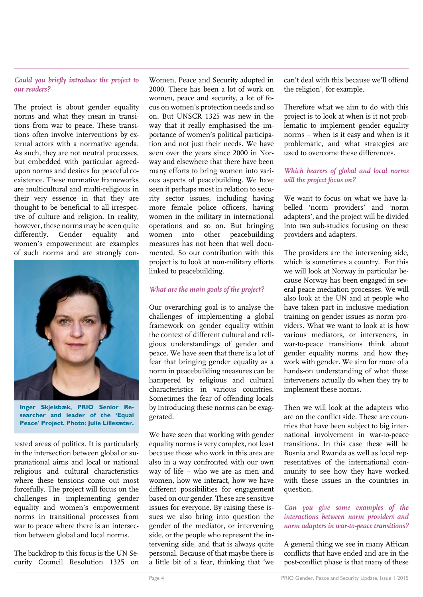#### *Could you briefly introduce the project to our readers?*

The project is about gender equality norms and what they mean in transitions from war to peace. These transitions often involve interventions by external actors with a normative agenda. As such, they are not neutral processes, but embedded with particular agreedupon norms and desires for peaceful coexistence. These normative frameworks are multicultural and multi-religious in their very essence in that they are thought to be beneficial to all irrespective of culture and religion. In reality, however, these norms may be seen quite differently. Gender equality and women's empowerment are examples of such norms and are strongly con-



**Inger Skjelsbæk, PRIO Senior Researcher and leader of the 'Equal Peace' Project. Photo: Julie Lillesæter.**

tested areas of politics. It is particularly in the intersection between global or supranational aims and local or national religious and cultural characteristics where these tensions come out most forcefully. The project will focus on the challenges in implementing gender equality and women's empowerment norms in transitional processes from war to peace where there is an intersection between global and local norms.

The backdrop to this focus is the UN Security Council Resolution 1325 on

Women, Peace and Security adopted in 2000. There has been a lot of work on women, peace and security, a lot of focus on women's protection needs and so on. But UNSCR 1325 was new in the way that it really emphasised the importance of women's political participation and not just their needs. We have seen over the years since 2000 in Norway and elsewhere that there have been many efforts to bring women into various aspects of peacebuilding. We have seen it perhaps most in relation to security sector issues, including having more female police officers, having women in the military in international operations and so on. But bringing women into other peacebuilding measures has not been that well documented. So our contribution with this project is to look at non-military efforts linked to peacebuilding.

#### *What are the main goals of the project?*

Our overarching goal is to analyse the challenges of implementing a global framework on gender equality within the context of different cultural and religious understandings of gender and peace. We have seen that there is a lot of fear that bringing gender equality as a norm in peacebuilding measures can be hampered by religious and cultural characteristics in various countries. Sometimes the fear of offending locals by introducing these norms can be exaggerated.

We have seen that working with gender equality norms is very complex, not least because those who work in this area are also in a way confronted with our own way of life – who we are as men and women, how we interact, how we have different possibilities for engagement based on our gender. These are sensitive issues for everyone. By raising these issues we also bring into question the gender of the mediator, or intervening side, or the people who represent the intervening side, and that is always quite personal. Because of that maybe there is a little bit of a fear, thinking that 'we

can't deal with this because we'll offend the religion', for example.

Therefore what we aim to do with this project is to look at when is it not problematic to implement gender equality norms – when is it easy and when is it problematic, and what strategies are used to overcome these differences.

#### *Which bearers of global and local norms will the project focus on?*

We want to focus on what we have labelled 'norm providers' and 'norm adapters', and the project will be divided into two sub-studies focusing on these providers and adapters.

The providers are the intervening side, which is sometimes a country. For this we will look at Norway in particular because Norway has been engaged in several peace mediation processes. We will also look at the UN and at people who have taken part in inclusive mediation training on gender issues as norm providers. What we want to look at is how various mediators, or interveners, in war-to-peace transitions think about gender equality norms, and how they work with gender. We aim for more of a hands-on understanding of what these interveners actually do when they try to implement these norms.

Then we will look at the adapters who are on the conflict side. These are countries that have been subject to big international involvement in war-to-peace transitions. In this case these will be Bosnia and Rwanda as well as local representatives of the international community to see how they have worked with these issues in the countries in question.

#### *Can you give some examples of the interactions between norm providers and norm adapters in war-to-peace transitions?*

A general thing we see in many African conflicts that have ended and are in the post-conflict phase is that many of these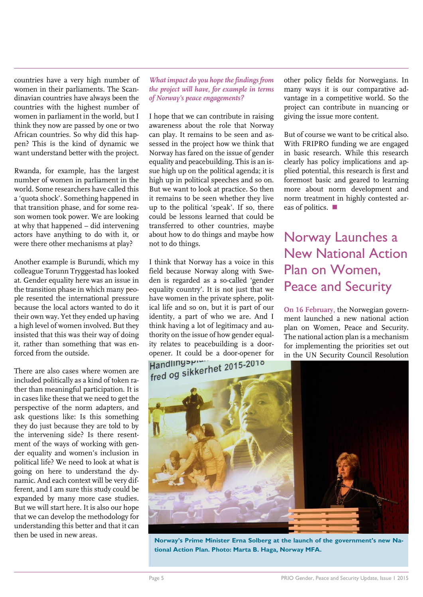countries have a very high number of women in their parliaments. The Scandinavian countries have always been the countries with the highest number of women in parliament in the world, but I think they now are passed by one or two African countries. So why did this happen? This is the kind of dynamic we want understand better with the project.

Rwanda, for example, has the largest number of women in parliament in the world. Some researchers have called this a 'quota shock'. Something happened in that transition phase, and for some reason women took power. We are looking at why that happened – did intervening actors have anything to do with it, or were there other mechanisms at play?

Another example is Burundi, which my colleague Torunn Tryggestad has looked at. Gender equality here was an issue in the transition phase in which many people resented the international pressure because the local actors wanted to do it their own way. Yet they ended up having a high level of women involved. But they insisted that this was their way of doing it, rather than something that was enforced from the outside.

There are also cases where women are included politically as a kind of token rather than meaningful participation. It is in cases like these that we need to get the perspective of the norm adapters, and ask questions like: Is this something they do just because they are told to by the intervening side? Is there resentment of the ways of working with gender equality and women's inclusion in political life? We need to look at what is going on here to understand the dynamic. And each context will be very different, and I am sure this study could be expanded by many more case studies. But we will start here. It is also our hope that we can develop the methodology for understanding this better and that it can then be used in new areas.

*What impact do you hope the findings from the project will have, for example in terms of Norway's peace engagements?*

I hope that we can contribute in raising awareness about the role that Norway can play. It remains to be seen and assessed in the project how we think that Norway has fared on the issue of gender equality and peacebuilding. This is an issue high up on the political agenda; it is high up in political speeches and so on. But we want to look at practice. So then it remains to be seen whether they live up to the political 'speak'. If so, there could be lessons learned that could be transferred to other countries, maybe about how to do things and maybe how not to do things.

I think that Norway has a voice in this field because Norway along with Sweden is regarded as a so-called 'gender equality country'. It is not just that we have women in the private sphere, political life and so on, but it is part of our identity, a part of who we are. And I think having a lot of legitimacy and authority on the issue of how gender equality relates to peacebuilding is a dooropener. It could be a door-opener for<br>Handling Spin Control 2015-2010<br>Fred og sikkerhet 2015-2010

other policy fields for Norwegians. In many ways it is our comparative advantage in a competitive world. So the project can contribute in nuancing or giving the issue more content.

But of course we want to be critical also. With FRIPRO funding we are engaged in basic research. While this research clearly has policy implications and applied potential, this research is first and foremost basic and geared to learning more about norm development and norm treatment in highly contested areas of politics.

### Norway Launches a New National Action Plan on Women, Peace and Security

**On 16 February,** the Norwegian government launched a new national action plan on Women, Peace and Security. The national action plan is a mechanism for implementing the priorities set out in the UN Security Council Resolution



**Norway's Prime Minister Erna Solberg at the launch of the government's new National Action Plan. Photo: Marta B. Haga, Norway MFA.**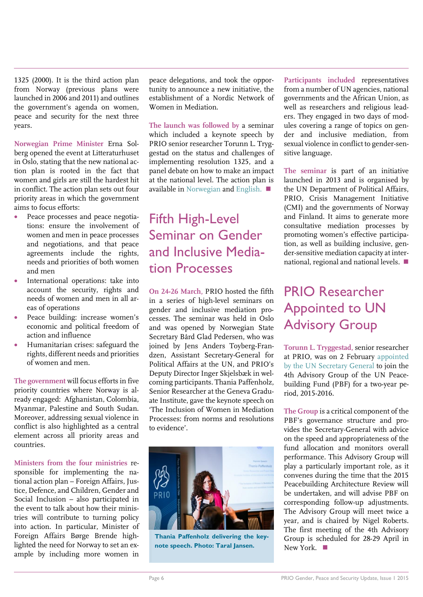1325 (2000). It is the third action plan from Norway (previous plans were launched in 2006 and 2011) and outlines the government's agenda on women, peace and security for the next three years.

**Norwegian Prime Minister** Erna Solberg opened the event at Litteraturhuset in Oslo, stating that the new national action plan is rooted in the fact that women and girls are still the hardest hit in conflict. The action plan sets out four priority areas in which the government aims to focus efforts:

- Peace processes and peace negotiations: ensure the involvement of women and men in peace processes and negotiations, and that peace agreements include the rights, needs and priorities of both women and men
- International operations: take into account the security, rights and needs of women and men in all areas of operations
- Peace building: increase women's economic and political freedom of action and influence
- Humanitarian crises: safeguard the rights, different needs and priorities of women and men.

**The government** will focus efforts in five priority countries where Norway is already engaged: Afghanistan, Colombia, Myanmar, Palestine and South Sudan. Moreover, addressing sexual violence in conflict is also highlighted as a central element across all priority areas and countries.

**Ministers from the four ministries** responsible for implementing the national action plan – Foreign Affairs, Justice, Defence, and Children, Gender and Social Inclusion – also participated in the event to talk about how their ministries will contribute to turning policy into action. In particular, Minister of Foreign Affairs Børge Brende highlighted the need for Norway to set an example by including more women in peace delegations, and took the opportunity to announce a new initiative, the establishment of a Nordic Network of Women in Mediation.

**The launch was followed by** a seminar which included a keynote speech by PRIO senior researcher Torunn L. Tryggestad on the status and challenges of implementing resolution 1325, and a panel debate on how to make an impact at the national level. The action plan is available in [Norwegian](https://www.regjeringen.no/globalassets/departementene/ud/vedlegg/fn/handlingsplan-kvinner-fred-sikkerhet-feb2015.pdf) and [English.](https://www.regjeringen.no/globalassets/departementene/ud/vedlegg/fn/ud_handlingsplan_kfs_eng_nett.pdf)

### Fifth High-Level Seminar on Gender and Inclusive Mediation Processes

**On 24-26 March,** PRIO hosted the fifth in a series of high-level seminars on gender and inclusive mediation processes. The seminar was held in Oslo and was opened by Norwegian State Secretary Bård Glad Pedersen, who was joined by Jens Anders Toyberg-Frandzen, Assistant Secretary-General for Political Affairs at the UN, and PRIO's Deputy Director Inger Skjelsbæk in welcoming participants. Thania Paffenholz, Senior Researcher at the Geneva Graduate Institute, gave the keynote speech on 'The Inclusion of Women in Mediation Processes: from norms and resolutions to evidence'.



**Thania Paffenholz delivering the keynote speech. Photo: Taral Jansen.**

**Participants included** representatives from a number of UN agencies, national governments and the African Union, as well as researchers and religious leaders. They engaged in two days of modules covering a range of topics on gender and inclusive mediation, from sexual violence in conflict to gender-sensitive language.

**The seminar** is part of an initiative launched in 2013 and is organised by the UN Department of Political Affairs, PRIO, Crisis Management Initiative (CMI) and the governments of Norway and Finland. It aims to generate more consultative mediation processes by promoting women's effective participation, as well as building inclusive, gender-sensitive mediation capacity at international, regional and national levels.

### PRIO Researcher Appointed to UN Advisory Group

**Torunn L. Tryggestad,** senior researcher at PRIO, was on 2 February [appointed](http://www.unpbf.org/news/the-secretary-general-appoints-his-fourth-advisory-group-of-the-peacebuilding-fund-pbf/)  [by the UN Secretary General](http://www.unpbf.org/news/the-secretary-general-appoints-his-fourth-advisory-group-of-the-peacebuilding-fund-pbf/) to join the 4th Advisory Group of the UN Peacebuilding Fund (PBF) for a two-year period, 2015-2016.

**The Group** is a critical component of the PBF's governance structure and provides the Secretary-General with advice on the speed and appropriateness of the fund allocation and monitors overall performance. This Advisory Group will play a particularly important role, as it convenes during the time that the 2015 Peacebuilding Architecture Review will be undertaken, and will advise PBF on corresponding follow-up adjustments. The Advisory Group will meet twice a year, and is chaired by Nigel Roberts. The first meeting of the 4th Advisory Group is scheduled for 28-29 April in New York. ■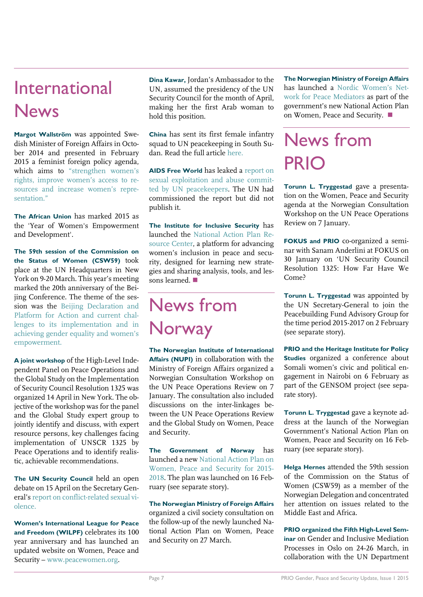## International **News**

**Margot Wallström** was appointed Swedish Minister of Foreign Affairs in October 2014 and presented in February 2015 a feminist foreign policy agenda, which aims to ["strengthen women's](http://www.government.se/content/1/c6/25/41/19/fd1df89a.pdf)  [rights, improve women's](http://www.government.se/content/1/c6/25/41/19/fd1df89a.pdf) access to re[sources and increase women's repre](http://www.government.se/content/1/c6/25/41/19/fd1df89a.pdf)sentation<sup>"</sup>

**The African Union** has marked 2015 as the 'Year of Women's Empowerment and Development'.

**The 59th session of the Commission on the Status of Women (CSW59)** took place at the UN Headquarters in New York on 9-20 March. This year's meeting marked the 20th anniversary of the Beijing Conference. The theme of the session was the [Beijing Declaration and](http://www.unwomen.org/en/csw/csw59-2015)  [Platform for Action and current chal](http://www.unwomen.org/en/csw/csw59-2015)[lenges to its implementation and in](http://www.unwomen.org/en/csw/csw59-2015)  [achieving gender equality and women's](http://www.unwomen.org/en/csw/csw59-2015)  [empowerment.](http://www.unwomen.org/en/csw/csw59-2015)

**A joint workshop** of the High-Level Independent Panel on Peace Operations and the Global Study on the Implementation of Security Council Resolution 1325 was organized 14 April in New York. The objective of the workshop was for the panel and the Global Study expert group to jointly identify and discuss, with expert resource persons, key challenges facing implementation of UNSCR 1325 by Peace Operations and to identify realistic, achievable recommendations.

**The UN Security Council** held an open debate on 15 April on the Secretary General's [report on conflict-related sexual vi](http://www.securitycouncilreport.org/atf/cf/%7B65BFCF9B-6D27-4E9C-8CD3-CF6E4FF96FF9%7D/s_2015_203.pdf)[olence.](http://www.securitycouncilreport.org/atf/cf/%7B65BFCF9B-6D27-4E9C-8CD3-CF6E4FF96FF9%7D/s_2015_203.pdf)

**Women's International League for Peace and Freedom (WILPF)** celebrates its 100 year anniversary and has launched an updated website on Women, Peace and Security – [www.peacewomen.org.](http://www.peacewomen.org/)

**Dina Kawar,** Jordan's Ambassador to the UN, assumed the presidency of the UN Security Council for the month of April, making her the first Arab woman to hold this position.

**China** has sent its first female infantry squad to UN peacekeeping in South Sudan. Read the full article [here.](http://www.womenofchina.cn/womenofchina/html1/news/newsmakers/1412/2780-1.htm)

**AIDS Free World** has leaked a [report on](http://www.aidsfreeworld.org/Newsroom/Press-Releases/2015/~/media/Files/Peacekeeping/2013%20Expert%20Team%20Report%20FINAL.pdf)  [sexual exploitation and abuse commit](http://www.aidsfreeworld.org/Newsroom/Press-Releases/2015/~/media/Files/Peacekeeping/2013%20Expert%20Team%20Report%20FINAL.pdf)[ted by UN peacekeepers.](http://www.aidsfreeworld.org/Newsroom/Press-Releases/2015/~/media/Files/Peacekeeping/2013%20Expert%20Team%20Report%20FINAL.pdf) The UN had commissioned the report but did not publish it.

**The Institute for Inclusive Security** has launched the [National Action Plan Re](http://actionplans.inclusivesecurity.org/)[source Center,](http://actionplans.inclusivesecurity.org/) a platform for advancing women's inclusion in peace and security, designed for learning new strategies and sharing analysis, tools, and lessons learned.

## News from Norway

**The Norwegian Institute of International Affairs (NUPI)** in collaboration with the Ministry of Foreign Affairs organized a Norwegian Consultation Workshop on the UN Peace Operations Review on 7 January. The consultation also included discussions on the inter-linkages between the UN Peace Operations Review and the Global Study on Women, Peace and Security.

**The Government of Norway** has launched a ne[w National Action Plan on](https://www.regjeringen.no/globalassets/departementene/ud/vedlegg/fn/ud_handlingsplan_kfs_eng_nett.pdf)  [Women, Peace and Security for 2015-](https://www.regjeringen.no/globalassets/departementene/ud/vedlegg/fn/ud_handlingsplan_kfs_eng_nett.pdf) [2018.](https://www.regjeringen.no/globalassets/departementene/ud/vedlegg/fn/ud_handlingsplan_kfs_eng_nett.pdf) The plan was launched on 16 February (see separate story).

**The Norwegian Ministry of Foreign Affairs** organized a civil society consultation on the follow-up of the newly launched National Action Plan on Women, Peace and Security on 27 March.

**The Norwegian Ministry of Foreign Affairs** has launched a [Nordic Women's Net](https://www.regjeringen.no/en/aktuelt/women_mediators/id2405556/)[work for Peace Mediators](https://www.regjeringen.no/en/aktuelt/women_mediators/id2405556/) as part of the government's new National Action Plan on Women, Peace and Security.

## News from PRIO

**Torunn L. Tryggestad** gave a presentation on the Women, Peace and Security agenda at the Norwegian Consultation Workshop on the UN Peace Operations Review on 7 January.

**FOKUS and PRIO** co-organized a seminar with Sanam Anderlini at FOKUS on 30 January on 'UN Security Council Resolution 1325: How Far Have We Come?

**Torunn L. Tryggestad** was appointed by the UN Secretary-General to join the Peacebuilding Fund Advisory Group for the time period 2015-2017 on 2 February (see separate story).

**PRIO and the Heritage Institute for Policy Studies** organized a conference about Somali women's civic and political engagement in Nairobi on 6 February as part of the GENSOM project (see separate story).

**Torunn L. Tryggestad** gave a keynote address at the launch of the Norwegian Government's National Action Plan on Women, Peace and Security on 16 February (see separate story).

**Helga Hernes** attended the 59th session of the Commission on the Status of Women (CSW59) as a member of the Norwegian Delegation and concentrated her attention on issues related to the Middle East and Africa.

**PRIO organized the Fifth High-Level Seminar** on Gender and Inclusive Mediation Processes in Oslo on 24-26 March, in collaboration with the UN Department